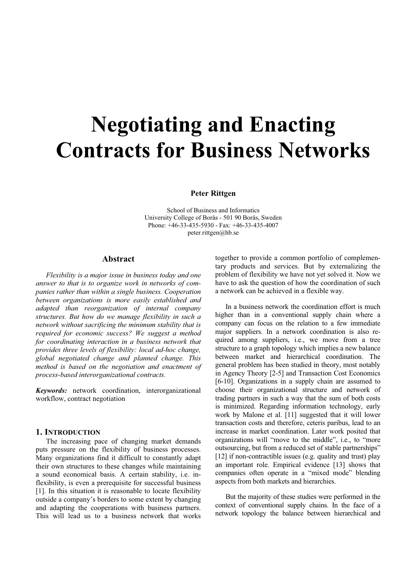# **Negotiating and Enacting Contracts for Business Networks**

**Peter Rittgen** 

School of Business and Informatics University College of Borås - 501 90 Borås, Sweden Phone: +46-33-435-5930 - Fax: +46-33-435-4007 peter.rittgen@hb.se

## **Abstract**

*Flexibility is a major issue in business today and one answer to that is to organize work in networks of companies rather than within a single business. Cooperation between organizations is more easily established and adapted than reorganization of internal company structures. But how do we manage flexibility in such a network without sacrificing the minimum stability that is required for economic success? We suggest a method for coordinating interaction in a business network that provides three levels of flexibility: local ad-hoc change, global negotiated change and planned change. This method is based on the negotiation and enactment of process-based interorganizational contracts.* 

*Keywords:* network coordination, interorganizational workflow, contract negotiation

## **1. INTRODUCTION**

The increasing pace of changing market demands puts pressure on the flexibility of business processes. Many organizations find it difficult to constantly adapt their own structures to these changes while maintaining a sound economical basis. A certain stability, i.e. inflexibility, is even a prerequisite for successful business [1]. In this situation it is reasonable to locate flexibility outside a company's borders to some extent by changing and adapting the cooperations with business partners. This will lead us to a business network that works

together to provide a common portfolio of complementary products and services. But by externalizing the problem of flexibility we have not yet solved it. Now we have to ask the question of how the coordination of such a network can be achieved in a flexible way.

In a business network the coordination effort is much higher than in a conventional supply chain where a company can focus on the relation to a few immediate major suppliers. In a network coordination is also required among suppliers, i.e., we move from a tree structure to a graph topology which implies a new balance between market and hierarchical coordination. The general problem has been studied in theory, most notably in Agency Theory [2-5] and Transaction Cost Economics [6-10]. Organizations in a supply chain are assumed to choose their organizational structure and network of trading partners in such a way that the sum of both costs is minimized. Regarding information technology, early work by Malone et al. [11] suggested that it will lower transaction costs and therefore, ceteris paribus, lead to an increase in market coordination. Later work posited that organizations will "move to the middle", i.e., to "more outsourcing, but from a reduced set of stable partnerships" [12] if non-contractible issues (e.g. quality and trust) play an important role. Empirical evidence [13] shows that companies often operate in a "mixed mode" blending aspects from both markets and hierarchies.

But the majority of these studies were performed in the context of conventional supply chains. In the face of a network topology the balance between hierarchical and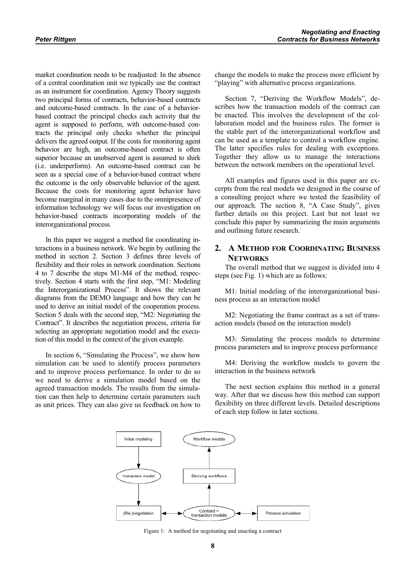market coordination needs to be readjusted: In the absence of a central coordination unit we typically use the contract as an instrument for coordination. Agency Theory suggests two principal forms of contracts, behavior-based contracts and outcome-based contracts. In the case of a behaviorbased contract the principal checks each activity that the agent is supposed to perform, with outcome-based contracts the principal only checks whether the principal delivers the agreed output. If the costs for monitoring agent behavior are high, an outcome-based contract is often superior because an unobserved agent is assumed to shirk (i.e. underperform). An outcome-based contract can be seen as a special case of a behavior-based contract where the outcome is the only observable behavior of the agent. Because the costs for monitoring agent behavior have become marginal in many cases due to the omnipresence of information technology we will focus our investigation on behavior-based contracts incorporating models of the interorganizational process.

In this paper we suggest a method for coordinating interactions in a business network. We begin by outlining the method in section 2. Section 3 defines three levels of flexibility and their roles in network coordination. Sections 4 to 7 describe the steps M1-M4 of the method, respectively. Section 4 starts with the first step, "M1: Modeling the Interorganizational Process". It shows the relevant diagrams from the DEMO language and how they can be used to derive an initial model of the cooperation process. Section 5 deals with the second step, "M2: Negotiating the Contract". It describes the negotiation process, criteria for selecting an appropriate negotiation model and the execution of this model in the context of the given example.

In section 6, "Simulating the Process", we show how simulation can be used to identify process parameters and to improve process performance. In order to do so we need to derive a simulation model based on the agreed transaction models. The results from the simulation can then help to determine certain parameters such as unit prices. They can also give us feedback on how to change the models to make the process more efficient by "playing" with alternative process organizations.

Section 7, "Deriving the Workflow Models", describes how the transaction models of the contract can be enacted. This involves the development of the collaboration model and the business rules. The former is the stable part of the interorganizational workflow and can be used as a template to control a workflow engine. The latter specifies rules for dealing with exceptions. Together they allow us to manage the interactions between the network members on the operational level.

All examples and figures used in this paper are excerpts from the real models we designed in the course of a consulting project where we tested the feasibility of our approach. The section 8, "A Case Study", gives further details on this project. Last but not least we conclude this paper by summarizing the main arguments and outlining future research.

# **2. A METHOD FOR COORDINATING BUSINESS NETWORKS**

The overall method that we suggest is divided into 4 steps (see Fig. 1) which are as follows:

M1: Initial modeling of the interorganizational business process as an interaction model

M2: Negotiating the frame contract as a set of transaction models (based on the interaction model)

M3: Simulating the process models to determine process parameters and to improve process performance

M4: Deriving the workflow models to govern the interaction in the business network

The next section explains this method in a general way. After that we discuss how this method can support flexibility on three different levels. Detailed descriptions of each step follow in later sections.



Figure 1: A method for negotiating and enacting a contract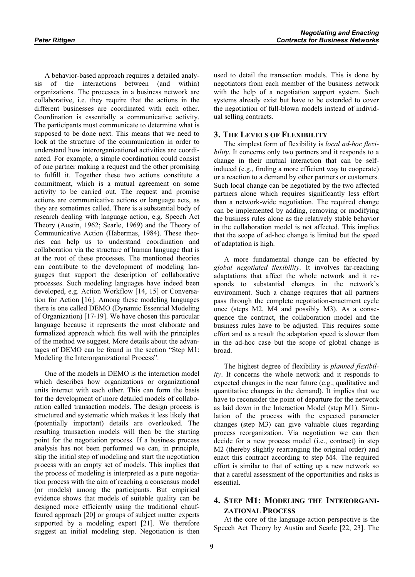A behavior-based approach requires a detailed analysis of the interactions between (and within) organizations. The processes in a business network are collaborative, i.e. they require that the actions in the different businesses are coordinated with each other. Coordination is essentially a communicative activity. The participants must communicate to determine what is supposed to be done next. This means that we need to look at the structure of the communication in order to understand how interorganizational activities are coordinated. For example, a simple coordination could consist of one partner making a request and the other promising to fulfill it. Together these two actions constitute a commitment, which is a mutual agreement on some activity to be carried out. The request and promise actions are communicative actions or language acts, as they are sometimes called. There is a substantial body of research dealing with language action, e.g. Speech Act Theory (Austin, 1962; Searle, 1969) and the Theory of Communicative Action (Habermas, 1984). These theories can help us to understand coordination and collaboration via the structure of human language that is at the root of these processes. The mentioned theories can contribute to the development of modeling languages that support the description of collaborative processes. Such modeling languages have indeed been developed, e.g. Action Workflow [14, 15] or Conversation for Action [16]. Among these modeling languages there is one called DEMO (Dynamic Essential Modeling of Organization) [17-19]. We have chosen this particular language because it represents the most elaborate and formalized approach which fits well with the principles of the method we suggest. More details about the advantages of DEMO can be found in the section "Step M1: Modeling the Interorganizational Process".

One of the models in DEMO is the interaction model which describes how organizations or organizational units interact with each other. This can form the basis for the development of more detailed models of collaboration called transaction models. The design process is structured and systematic which makes it less likely that (potentially important) details are overlooked. The resulting transaction models will then be the starting point for the negotiation process. If a business process analysis has not been performed we can, in principle, skip the initial step of modeling and start the negotiation process with an empty set of models. This implies that the process of modeling is interpreted as a pure negotiation process with the aim of reaching a consensus model (or models) among the participants. But empirical evidence shows that models of suitable quality can be designed more efficiently using the traditional chauffeured approach [20] or groups of subject matter experts supported by a modeling expert [21]. We therefore suggest an initial modeling step. Negotiation is then

used to detail the transaction models. This is done by negotiators from each member of the business network with the help of a negotiation support system. Such systems already exist but have to be extended to cover the negotiation of full-blown models instead of individual selling contracts.

## **3. THE LEVELS OF FLEXIBILITY**

The simplest form of flexibility is *local ad-hoc flexibility*. It concerns only two partners and it responds to a change in their mutual interaction that can be selfinduced (e.g., finding a more efficient way to cooperate) or a reaction to a demand by other partners or customers. Such local change can be negotiated by the two affected partners alone which requires significantly less effort than a network-wide negotiation. The required change can be implemented by adding, removing or modifying the business rules alone as the relatively stable behavior in the collaboration model is not affected. This implies that the scope of ad-hoc change is limited but the speed of adaptation is high.

A more fundamental change can be effected by *global negotiated flexibility*. It involves far-reaching adaptations that affect the whole network and it responds to substantial changes in the network's environment. Such a change requires that all partners pass through the complete negotiation-enactment cycle once (steps M2, M4 and possibly M3). As a consequence the contract, the collaboration model and the business rules have to be adjusted. This requires some effort and as a result the adaptation speed is slower than in the ad-hoc case but the scope of global change is broad.

The highest degree of flexibility is *planned flexibility*. It concerns the whole network and it responds to expected changes in the near future (e.g., qualitative and quantitative changes in the demand). It implies that we have to reconsider the point of departure for the network as laid down in the Interaction Model (step M1). Simulation of the process with the expected parameter changes (step M3) can give valuable clues regarding process reorganization. Via negotiation we can then decide for a new process model (i.e., contract) in step M2 (thereby slightly rearranging the original order) and enact this contract according to step M4. The required effort is similar to that of setting up a new network so that a careful assessment of the opportunities and risks is essential.

# **4. STEP M1: MODELING THE INTERORGANI-ZATIONAL PROCESS**

At the core of the language-action perspective is the Speech Act Theory by Austin and Searle [22, 23]. The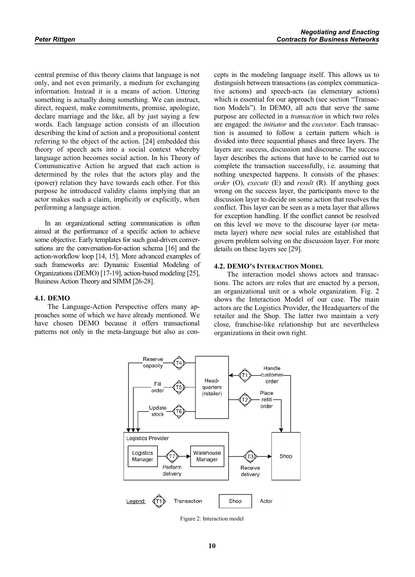central premise of this theory claims that language is not only, and not even primarily, a medium for exchanging information. Instead it is a means of action. Uttering something is actually doing something. We can instruct, direct, request, make commitments, promise, apologize, declare marriage and the like, all by just saying a few words. Each language action consists of an illocution describing the kind of action and a propositional content referring to the object of the action. [24] embedded this theory of speech acts into a social context whereby language action becomes social action. In his Theory of Communicative Action he argued that each action is determined by the roles that the actors play and the (power) relation they have towards each other. For this purpose he introduced validity claims implying that an actor makes such a claim, implicitly or explicitly, when performing a language action.

In an organizational setting communication is often aimed at the performance of a specific action to achieve some objective. Early templates for such goal-driven conversations are the conversation-for-action schema [16] and the action-workflow loop [14, 15]. More advanced examples of such frameworks are: Dynamic Essential Modeling of Organizations (DEMO) [17-19], action-based modeling [25], Business Action Theory and SIMM [26-28].

cepts in the modeling language itself. This allows us to distinguish between transactions (as complex communicative actions) and speech-acts (as elementary actions) which is essential for our approach (see section "Transaction Models"). In DEMO, all acts that serve the same purpose are collected in a *transaction* in which two roles are engaged: the *initiator* and the *executor*. Each transaction is assumed to follow a certain pattern which is divided into three sequential phases and three layers. The layers are: success, discussion and discourse. The success layer describes the actions that have to be carried out to complete the transaction successfully, i.e. assuming that nothing unexpected happens. It consists of the phases: *order* (O), *execute* (E) and *result* (R). If anything goes wrong on the success layer, the participants move to the discussion layer to decide on some action that resolves the conflict. This layer can be seen as a meta layer that allows for exception handling. If the conflict cannot be resolved on this level we move to the discourse layer (or metameta layer) where new social rules are established that govern problem solving on the discussion layer. For more details on these layers see [29].

#### **4.2. DEMO'S INTERACTION MODEL**

#### **4.1. DEMO**

The Language-Action Perspective offers many approaches some of which we have already mentioned. We have chosen DEMO because it offers transactional patterns not only in the meta-language but also as con-

The interaction model shows actors and transactions. The actors are roles that are enacted by a person, an organizational unit or a whole organization. Fig. 2 shows the Interaction Model of our case. The main actors are the Logistics Provider, the Headquarters of the retailer and the Shop. The latter two maintain a very close, franchise-like relationship but are nevertheless organizations in their own right.



Figure 2: Interaction model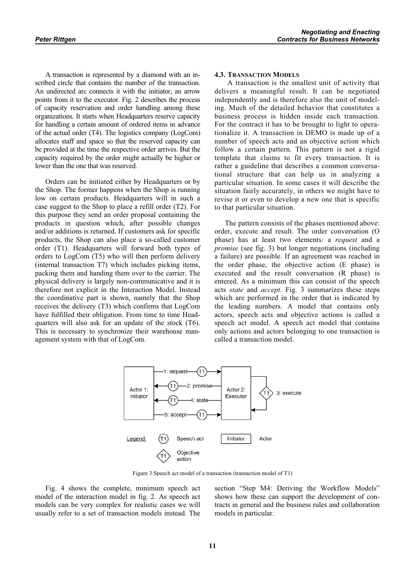A transaction is represented by a diamond with an inscribed circle that contains the number of the transaction. An undirected arc connects it with the initiator, an arrow points from it to the executor. Fig. 2 describes the process of capacity reservation and order handling among these organizations. It starts when Headquarters reserve capacity for handling a certain amount of ordered items in advance of the actual order (T4). The logistics company (LogCom) allocates staff and space so that the reserved capacity can be provided at the time the respective order arrives. But the capacity required by the order might actually be higher or lower than the one that was reserved.

Orders can be initiated either by Headquarters or by the Shop. The former happens when the Shop is running low on certain products. Headquarters will in such a case suggest to the Shop to place a refill order (T2). For this purpose they send an order proposal containing the products in question which, after possible changes and/or additions is returned. If customers ask for specific products, the Shop can also place a so-called customer order (T1). Headquarters will forward both types of orders to LogCom (T5) who will then perform delivery (internal transaction T7) which includes picking items, packing them and handing them over to the carrier. The physical delivery is largely non-communicative and it is therefore not explicit in the Interaction Model. Instead the coordinative part is shown, namely that the Shop receives the delivery (T3) which confirms that LogCom have fulfilled their obligation. From time to time Headquarters will also ask for an update of the stock (T6). This is necessary to synchronize their warehouse management system with that of LogCom.

#### **4.3. TRANSACTION MODELS**

A transaction is the smallest unit of activity that delivers a meaningful result. It can be negotiated independently and is therefore also the unit of modeling. Much of the detailed behavior that constitutes a business process is hidden inside each transaction. For the contract it has to be brought to light to operationalize it. A transaction in DEMO is made up of a number of speech acts and an objective action which follow a certain pattern. This pattern is not a rigid template that claims to fit every transaction. It is rather a guideline that describes a common conversational structure that can help us in analyzing a particular situation. In some cases it will describe the situation fairly accurately, in others we might have to revise it or even to develop a new one that is specific to that particular situation.

The pattern consists of the phases mentioned above: order, execute and result. The order conversation (O phase) has at least two elements: a *request* and a *promise* (see fig. 3) but longer negotiations (including a failure) are possible. If an agreement was reached in the order phase, the objective action (E phase) is executed and the result conversation (R phase) is entered. As a minimum this can consist of the speech acts *state* and *accept*. Fig. 3 summarizes these steps which are performed in the order that is indicated by the leading numbers. A model that contains only actors, speech acts and objective actions is called a speech act model. A speech act model that contains only actions and actors belonging to one transaction is called a transaction model.



Figure 3:Speech act model of a transaction (transaction model of T1)

Fig. 4 shows the complete, minimum speech act model of the interaction model in fig. 2. As speech act models can be very complex for realistic cases we will usually refer to a set of transaction models instead. The

section "Step M4: Deriving the Workflow Models" shows how these can support the development of contracts in general and the business rules and collaboration models in particular.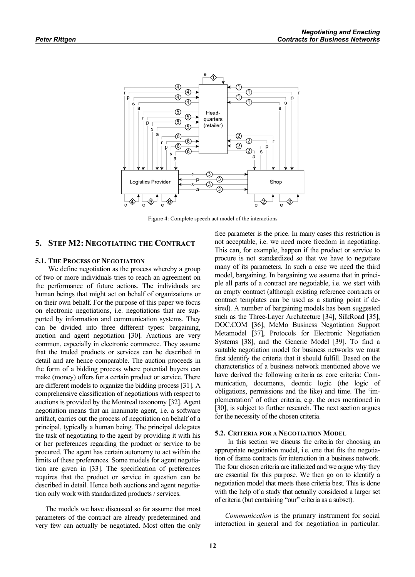

Figure 4: Complete speech act model of the interactions

## **5. STEP M2: NEGOTIATING THE CONTRACT**

#### **5.1. THE PROCESS OF NEGOTIATION**

We define negotiation as the process whereby a group of two or more individuals tries to reach an agreement on the performance of future actions. The individuals are human beings that might act on behalf of organizations or on their own behalf. For the purpose of this paper we focus on electronic negotiations, i.e. negotiations that are supported by information and communication systems. They can be divided into three different types: bargaining, auction and agent negotiation [30]. Auctions are very common, especially in electronic commerce. They assume that the traded products or services can be described in detail and are hence comparable. The auction proceeds in the form of a bidding process where potential buyers can make (money) offers for a certain product or service. There are different models to organize the bidding process [31]. A comprehensive classification of negotiations with respect to auctions is provided by the Montreal taxonomy [32]. Agent negotiation means that an inanimate agent, i.e. a software artifact, carries out the process of negotiation on behalf of a principal, typically a human being. The principal delegates the task of negotiating to the agent by providing it with his or her preferences regarding the product or service to be procured. The agent has certain autonomy to act within the limits of these preferences. Some models for agent negotiation are given in [33]. The specification of preferences requires that the product or service in question can be described in detail. Hence both auctions and agent negotiation only work with standardized products / services.

The models we have discussed so far assume that most parameters of the contract are already predetermined and very few can actually be negotiated. Most often the only

free parameter is the price. In many cases this restriction is not acceptable, i.e. we need more freedom in negotiating. This can, for example, happen if the product or service to procure is not standardized so that we have to negotiate many of its parameters. In such a case we need the third model, bargaining. In bargaining we assume that in principle all parts of a contract are negotiable, i.e. we start with an empty contract (although existing reference contracts or contract templates can be used as a starting point if desired). A number of bargaining models has been suggested such as the Three-Layer Architecture [34], SilkRoad [35], DOC.COM [36], MeMo Business Negotiation Support Metamodel [37], Protocols for Electronic Negotiation Systems [38], and the Generic Model [39]. To find a suitable negotiation model for business networks we must first identify the criteria that it should fulfill. Based on the characteristics of a business network mentioned above we have derived the following criteria as core criteria: Communication, documents, deontic logic (the logic of obligations, permissions and the like) and time. The 'implementation' of other criteria, e.g. the ones mentioned in [30], is subject to further research. The next section argues for the necessity of the chosen criteria.

#### **5.2. CRITERIA FOR A NEGOTIATION MODEL**

 In this section we discuss the criteria for choosing an appropriate negotiation model, i.e. one that fits the negotiation of frame contracts for interaction in a business network. The four chosen criteria are italicized and we argue why they are essential for this purpose. We then go on to identify a negotiation model that meets these criteria best. This is done with the help of a study that actually considered a larger set of criteria (but containing "our" criteria as a subset).

*Communication* is the primary instrument for social interaction in general and for negotiation in particular.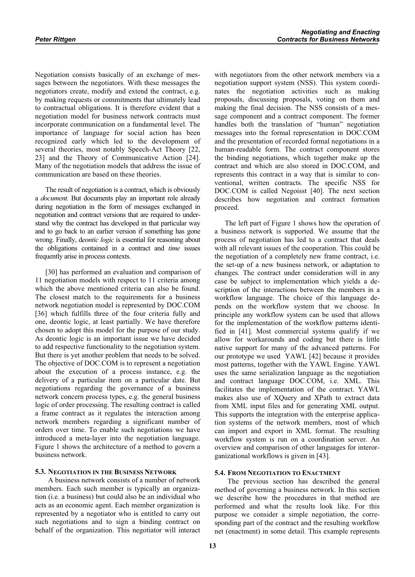Negotiation consists basically of an exchange of messages between the negotiators. With these messages the negotiators create, modify and extend the contract, e.g. by making requests or commitments that ultimately lead to contractual obligations. It is therefore evident that a negotiation model for business network contracts must incorporate communication on a fundamental level. The importance of language for social action has been recognized early which led to the development of several theories, most notably Speech-Act Theory [22, 23] and the Theory of Communicative Action [24]. Many of the negotiation models that address the issue of communication are based on these theories.

The result of negotiation is a contract, which is obviously a *document*. But documents play an important role already during negotiation in the form of messages exchanged in negotiation and contract versions that are required to understand why the contract has developed in that particular way and to go back to an earlier version if something has gone wrong. Finally, d*eontic logic* is essential for reasoning about the obligations contained in a contract and *time* issues frequently arise in process contexts.

[30] has performed an evaluation and comparison of 11 negotiation models with respect to 11 criteria among which the above mentioned criteria can also be found. The closest match to the requirements for a business network negotiation model is represented by DOC.COM [36] which fulfills three of the four criteria fully and one, deontic logic, at least partially. We have therefore chosen to adopt this model for the purpose of our study. As deontic logic is an important issue we have decided to add respective functionality to the negotiation system. But there is yet another problem that needs to be solved. The objective of DOC.COM is to represent a negotiation about the execution of a process instance, e.g. the delivery of a particular item on a particular date. But negotiations regarding the governance of a business network concern process types, e.g. the general business logic of order processing. The resulting contract is called a frame contract as it regulates the interaction among network members regarding a significant number of orders over time. To enable such negotiations we have introduced a meta-layer into the negotiation language. Figure 1 shows the architecture of a method to govern a business network.

## **5.3. NEGOTIATION IN THE BUSINESS NETWORK**

 A business network consists of a number of network members. Each such member is typically an organization (i.e. a business) but could also be an individual who acts as an economic agent. Each member organization is represented by a negotiator who is entitled to carry out such negotiations and to sign a binding contract on behalf of the organization. This negotiator will interact with negotiators from the other network members via a negotiation support system (NSS). This system coordinates the negotiation activities such as making proposals, discussing proposals, voting on them and making the final decision. The NSS consists of a message component and a contract component. The former handles both the translation of "human" negotiation messages into the formal representation in DOC.COM and the presentation of recorded formal negotiations in a human-readable form. The contract component stores the binding negotiations, which together make up the contract and which are also stored in DOC.COM, and represents this contract in a way that is similar to conventional, written contracts. The specific NSS for DOC.COM is called Negoisst [40]. The next section describes how negotiation and contract formation proceed.

The left part of Figure 1 shows how the operation of a business network is supported. We assume that the process of negotiation has led to a contract that deals with all relevant issues of the cooperation. This could be the negotiation of a completely new frame contract, i.e. the set-up of a new business network, or adaptation to changes. The contract under consideration will in any case be subject to implementation which yields a description of the interactions between the members in a workflow language. The choice of this language depends on the workflow system that we choose. In principle any workflow system can be used that allows for the implementation of the workflow patterns identified in [41]. Most commercial systems qualify if we allow for workarounds and coding but there is little native support for many of the advanced patterns. For our prototype we used YAWL [42] because it provides most patterns, together with the YAWL Engine. YAWL uses the same serialization language as the negotiation and contract language DOC.COM, i.e. XML. This facilitates the implementation of the contract. YAWL makes also use of XQuery and XPath to extract data from XML input files and for generating XML output. This supports the integration with the enterprise application systems of the network members, most of which can import and export in XML format. The resulting workflow system is run on a coordination server. An overview and comparison of other languages for interorganizational workflows is given in [43].

#### **5.4. FROM NEGOTIATION TO ENACTMENT**

 The previous section has described the general method of governing a business network. In this section we describe how the procedures in that method are performed and what the results look like. For this purpose we consider a simple negotiation, the corresponding part of the contract and the resulting workflow net (enactment) in some detail. This example represents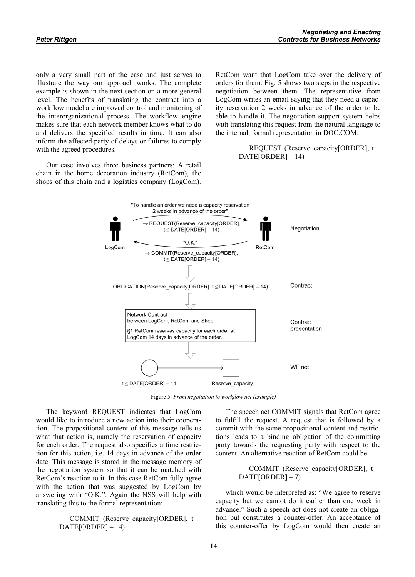only a very small part of the case and just serves to illustrate the way our approach works. The complete example is shown in the next section on a more general level. The benefits of translating the contract into a workflow model are improved control and monitoring of the interorganizational process. The workflow engine makes sure that each network member knows what to do and delivers the specified results in time. It can also inform the affected party of delays or failures to comply with the agreed procedures.

Our case involves three business partners: A retail chain in the home decoration industry (RetCom), the shops of this chain and a logistics company (LogCom). RetCom want that LogCom take over the delivery of orders for them. Fig. 5 shows two steps in the respective negotiation between them. The representative from LogCom writes an email saying that they need a capacity reservation 2 weeks in advance of the order to be able to handle it. The negotiation support system helps with translating this request from the natural language to the internal, formal representation in DOC.COM:

## REQUEST (Reserve\_capacity[ORDER], t DATE[ORDER] – 14)



Figure 5: *From negotiation to workflow net (example)*

The keyword REQUEST indicates that LogCom would like to introduce a new action into their cooperation. The propositional content of this message tells us what that action is, namely the reservation of capacity for each order. The request also specifies a time restriction for this action, i.e. 14 days in advance of the order date. This message is stored in the message memory of the negotiation system so that it can be matched with RetCom's reaction to it. In this case RetCom fully agree with the action that was suggested by LogCom by answering with "O.K.". Again the NSS will help with translating this to the formal representation:

> COMMIT (Reserve\_capacity[ORDER], t  $DATA[ORDER] - 14)$

The speech act COMMIT signals that RetCom agree to fulfill the request. A request that is followed by a commit with the same propositional content and restrictions leads to a binding obligation of the committing party towards the requesting party with respect to the content. An alternative reaction of RetCom could be:

## COMMIT (Reserve\_capacity[ORDER], t DATE[ORDER] – 7)

which would be interpreted as: "We agree to reserve capacity but we cannot do it earlier than one week in advance." Such a speech act does not create an obligation but constitutes a counter-offer. An acceptance of this counter-offer by LogCom would then create an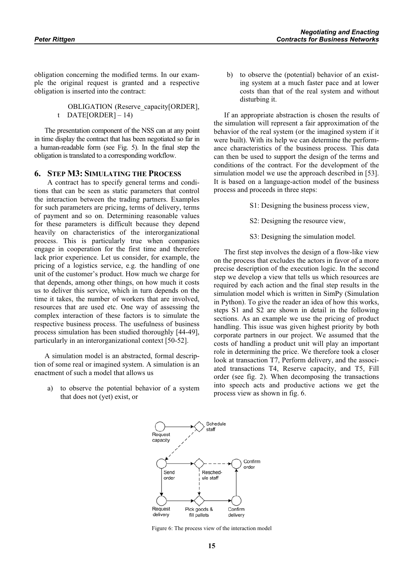obligation concerning the modified terms. In our example the original request is granted and a respective obligation is inserted into the contract:

> OBLIGATION (Reserve\_capacity[ORDER], t DATE[ORDER]  $-14$ )

The presentation component of the NSS can at any point in time display the contract that has been negotiated so far in a human-readable form (see Fig. 5). In the final step the obligation is translated to a corresponding workflow.

## **6. STEP M3: SIMULATING THE PROCESS**

 A contract has to specify general terms and conditions that can be seen as static parameters that control the interaction between the trading partners. Examples for such parameters are pricing, terms of delivery, terms of payment and so on. Determining reasonable values for these parameters is difficult because they depend heavily on characteristics of the interorganizational process. This is particularly true when companies engage in cooperation for the first time and therefore lack prior experience. Let us consider, for example, the pricing of a logistics service, e.g. the handling of one unit of the customer's product. How much we charge for that depends, among other things, on how much it costs us to deliver this service, which in turn depends on the time it takes, the number of workers that are involved, resources that are used etc. One way of assessing the complex interaction of these factors is to simulate the respective business process. The usefulness of business process simulation has been studied thoroughly [44-49], particularly in an interorganizational context [50-52].

A simulation model is an abstracted, formal description of some real or imagined system. A simulation is an enactment of such a model that allows us

a) to observe the potential behavior of a system that does not (yet) exist, or

b) to observe the (potential) behavior of an existing system at a much faster pace and at lower costs than that of the real system and without disturbing it.

If an appropriate abstraction is chosen the results of the simulation will represent a fair approximation of the behavior of the real system (or the imagined system if it were built). With its help we can determine the performance characteristics of the business process. This data can then be used to support the design of the terms and conditions of the contract. For the development of the simulation model we use the approach described in [53]. It is based on a language-action model of the business process and proceeds in three steps:

- S1: Designing the business process view,
- S2: Designing the resource view,
- S3: Designing the simulation model.

The first step involves the design of a flow-like view on the process that excludes the actors in favor of a more precise description of the execution logic. In the second step we develop a view that tells us which resources are required by each action and the final step results in the simulation model which is written in SimPy (Simulation in Python). To give the reader an idea of how this works, steps S1 and S2 are shown in detail in the following sections. As an example we use the pricing of product handling. This issue was given highest priority by both corporate partners in our project. We assumed that the costs of handling a product unit will play an important role in determining the price. We therefore took a closer look at transaction T7, Perform delivery, and the associated transactions T4, Reserve capacity, and T5, Fill order (see fig. 2). When decomposing the transactions into speech acts and productive actions we get the process view as shown in fig. 6.



Figure 6: The process view of the interaction model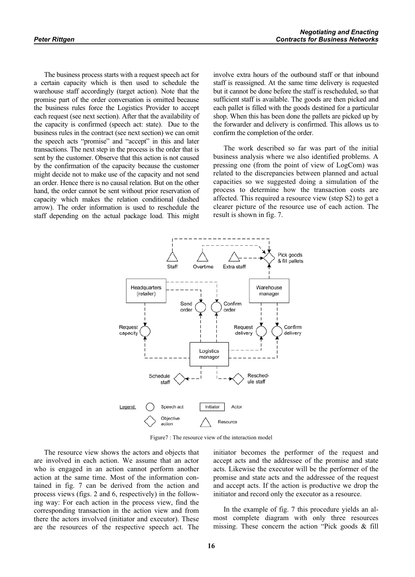The business process starts with a request speech act for a certain capacity which is then used to schedule the warehouse staff accordingly (target action). Note that the promise part of the order conversation is omitted because the business rules force the Logistics Provider to accept each request (see next section). After that the availability of the capacity is confirmed (speech act: state). Due to the business rules in the contract (see next section) we can omit the speech acts "promise" and "accept" in this and later transactions. The next step in the process is the order that is sent by the customer. Observe that this action is not caused by the confirmation of the capacity because the customer might decide not to make use of the capacity and not send an order. Hence there is no causal relation. But on the other hand, the order cannot be sent without prior reservation of capacity which makes the relation conditional (dashed arrow). The order information is used to reschedule the staff depending on the actual package load. This might involve extra hours of the outbound staff or that inbound staff is reassigned. At the same time delivery is requested but it cannot be done before the staff is rescheduled, so that sufficient staff is available. The goods are then picked and each pallet is filled with the goods destined for a particular shop. When this has been done the pallets are picked up by the forwarder and delivery is confirmed. This allows us to confirm the completion of the order.

The work described so far was part of the initial business analysis where we also identified problems. A pressing one (from the point of view of LogCom) was related to the discrepancies between planned and actual capacities so we suggested doing a simulation of the process to determine how the transaction costs are affected. This required a resource view (step S2) to get a clearer picture of the resource use of each action. The result is shown in fig. 7.



Figure7 : The resource view of the interaction model

The resource view shows the actors and objects that are involved in each action. We assume that an actor who is engaged in an action cannot perform another action at the same time. Most of the information contained in fig. 7 can be derived from the action and process views (figs. 2 and 6, respectively) in the following way: For each action in the process view, find the corresponding transaction in the action view and from there the actors involved (initiator and executor). These are the resources of the respective speech act. The initiator becomes the performer of the request and accept acts and the addressee of the promise and state acts. Likewise the executor will be the performer of the promise and state acts and the addressee of the request and accept acts. If the action is productive we drop the initiator and record only the executor as a resource.

In the example of fig. 7 this procedure yields an almost complete diagram with only three resources missing. These concern the action "Pick goods & fill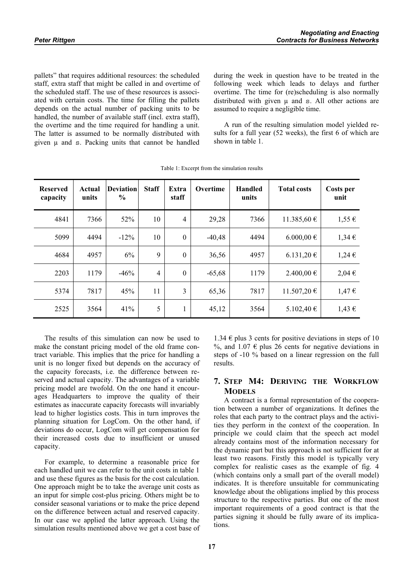pallets" that requires additional resources: the scheduled staff, extra staff that might be called in and overtime of the scheduled staff. The use of these resources is associated with certain costs. The time for filling the pallets depends on the actual number of packing units to be handled, the number of available staff (incl. extra staff), the overtime and the time required for handling a unit. The latter is assumed to be normally distributed with given  $\mu$  and  $\sigma$ . Packing units that cannot be handled

during the week in question have to be treated in the following week which leads to delays and further overtime. The time for (re)scheduling is also normally distributed with given  $\mu$  and  $s$ . All other actions are assumed to require a negligible time.

A run of the resulting simulation model yielded results for a full year (52 weeks), the first 6 of which are shown in table 1.

| <b>Reserved</b><br>capacity | Actual<br>units | <b>Deviation</b><br>$\frac{0}{0}$ | <b>Staff</b>   | Extra<br>staff | Overtime | <b>Handled</b><br>units | <b>Total costs</b> | Costs per<br>unit |
|-----------------------------|-----------------|-----------------------------------|----------------|----------------|----------|-------------------------|--------------------|-------------------|
| 4841                        | 7366            | 52%                               | 10             | $\overline{4}$ | 29,28    | 7366                    | 11.385,60 €        | $1,55 \in$        |
| 5099                        | 4494            | $-12\%$                           | 10             | $\mathbf{0}$   | $-40,48$ | 4494                    | 6.000,00 €         | 1,34€             |
| 4684                        | 4957            | 6%                                | 9              | $\theta$       | 36,56    | 4957                    | 6.131,20 €         | $1,24 \in$        |
| 2203                        | 1179            | $-46%$                            | $\overline{4}$ | $\theta$       | $-65,68$ | 1179                    | 2.400,00 €         | 2,04€             |
| 5374                        | 7817            | 45%                               | 11             | 3              | 65,36    | 7817                    | 11.507,20 €        | 1,47€             |
| 2525                        | 3564            | 41%                               | 5              | 1              | 45,12    | 3564                    | 5.102,40 €         | $1,43 \in$        |

Table 1: Excerpt from the simulation results

The results of this simulation can now be used to make the constant pricing model of the old frame contract variable. This implies that the price for handling a unit is no longer fixed but depends on the accuracy of the capacity forecasts, i.e. the difference between reserved and actual capacity. The advantages of a variable pricing model are twofold. On the one hand it encourages Headquarters to improve the quality of their estimates as inaccurate capacity forecasts will invariably lead to higher logistics costs. This in turn improves the planning situation for LogCom. On the other hand, if deviations do occur, LogCom will get compensation for their increased costs due to insufficient or unused capacity.

For example, to determine a reasonable price for each handled unit we can refer to the unit costs in table 1 and use these figures as the basis for the cost calculation. One approach might be to take the average unit costs as an input for simple cost-plus pricing. Others might be to consider seasonal variations or to make the price depend on the difference between actual and reserved capacity. In our case we applied the latter approach. Using the simulation results mentioned above we get a cost base of

1.34 € plus 3 cents for positive deviations in steps of 10 %, and 1.07  $\epsilon$  plus 26 cents for negative deviations in steps of -10 % based on a linear regression on the full results.

# **7. STEP M4: DERIVING THE WORKFLOW MODELS**

A contract is a formal representation of the cooperation between a number of organizations. It defines the roles that each party to the contract plays and the activities they perform in the context of the cooperation. In principle we could claim that the speech act model already contains most of the information necessary for the dynamic part but this approach is not sufficient for at least two reasons. Firstly this model is typically very complex for realistic cases as the example of fig. 4 (which contains only a small part of the overall model) indicates. It is therefore unsuitable for communicating knowledge about the obligations implied by this process structure to the respective parties. But one of the most important requirements of a good contract is that the parties signing it should be fully aware of its implications.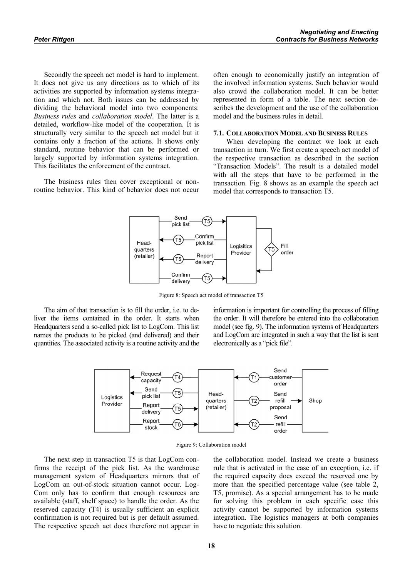Secondly the speech act model is hard to implement. It does not give us any directions as to which of its activities are supported by information systems integration and which not. Both issues can be addressed by dividing the behavioral model into two components: *Business rules* and *collaboration model*. The latter is a detailed, workflow-like model of the cooperation. It is structurally very similar to the speech act model but it contains only a fraction of the actions. It shows only standard, routine behavior that can be performed or largely supported by information systems integration. This facilitates the enforcement of the contract.

The business rules then cover exceptional or nonroutine behavior. This kind of behavior does not occur often enough to economically justify an integration of the involved information systems. Such behavior would also crowd the collaboration model. It can be better represented in form of a table. The next section describes the development and the use of the collaboration model and the business rules in detail.

#### **7.1. COLLABORATION MODEL AND BUSINESS RULES**

 When developing the contract we look at each transaction in turn. We first create a speech act model of the respective transaction as described in the section "Transaction Models". The result is a detailed model with all the steps that have to be performed in the transaction. Fig. 8 shows as an example the speech act model that corresponds to transaction T5.



Figure 8: Speech act model of transaction T5

The aim of that transaction is to fill the order, i.e. to deliver the items contained in the order. It starts when Headquarters send a so-called pick list to LogCom. This list names the products to be picked (and delivered) and their quantities. The associated activity is a routine activity and the information is important for controlling the process of filling the order. It will therefore be entered into the collaboration model (see fig. 9). The information systems of Headquarters and LogCom are integrated in such a way that the list is sent electronically as a "pick file".



Figure 9: Collaboration model

The next step in transaction T5 is that LogCom confirms the receipt of the pick list. As the warehouse management system of Headquarters mirrors that of LogCom an out-of-stock situation cannot occur. Log-Com only has to confirm that enough resources are available (staff, shelf space) to handle the order. As the reserved capacity (T4) is usually sufficient an explicit confirmation is not required but is per default assumed. The respective speech act does therefore not appear in

the collaboration model. Instead we create a business rule that is activated in the case of an exception, i.e. if the required capacity does exceed the reserved one by more than the specified percentage value (see table 2, T5, promise). As a special arrangement has to be made for solving this problem in each specific case this activity cannot be supported by information systems integration. The logistics managers at both companies have to negotiate this solution.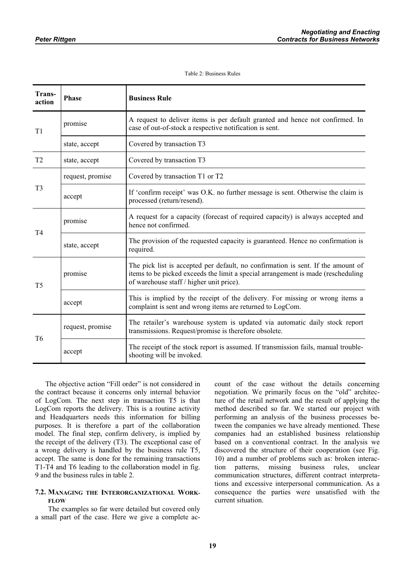#### Table 2: Business Rules

| Trans-<br>action | <b>Phase</b>     | <b>Business Rule</b>                                                                                                                                                                                             |  |  |  |  |
|------------------|------------------|------------------------------------------------------------------------------------------------------------------------------------------------------------------------------------------------------------------|--|--|--|--|
| T <sub>1</sub>   | promise          | A request to deliver items is per default granted and hence not confirmed. In<br>case of out-of-stock a respective notification is sent.                                                                         |  |  |  |  |
|                  | state, accept    | Covered by transaction T3                                                                                                                                                                                        |  |  |  |  |
| T <sub>2</sub>   | state, accept    | Covered by transaction T3                                                                                                                                                                                        |  |  |  |  |
| T <sub>3</sub>   | request, promise | Covered by transaction T1 or T2                                                                                                                                                                                  |  |  |  |  |
|                  | accept           | If 'confirm receipt' was O.K. no further message is sent. Otherwise the claim is<br>processed (return/resend).                                                                                                   |  |  |  |  |
| T4               | promise          | A request for a capacity (forecast of required capacity) is always accepted and<br>hence not confirmed.                                                                                                          |  |  |  |  |
|                  | state, accept    | The provision of the requested capacity is guaranteed. Hence no confirmation is<br>required.                                                                                                                     |  |  |  |  |
| T <sub>5</sub>   | promise          | The pick list is accepted per default, no confirmation is sent. If the amount of<br>items to be picked exceeds the limit a special arrangement is made (rescheduling<br>of warehouse staff / higher unit price). |  |  |  |  |
|                  | accept           | This is implied by the receipt of the delivery. For missing or wrong items a<br>complaint is sent and wrong items are returned to LogCom.                                                                        |  |  |  |  |
| T <sub>6</sub>   | request, promise | The retailer's warehouse system is updated via automatic daily stock report<br>transmissions. Request/promise is therefore obsolete.                                                                             |  |  |  |  |
|                  | accept           | The receipt of the stock report is assumed. If transmission fails, manual trouble-<br>shooting will be invoked.                                                                                                  |  |  |  |  |

The objective action "Fill order" is not considered in the contract because it concerns only internal behavior of LogCom. The next step in transaction T5 is that LogCom reports the delivery. This is a routine activity and Headquarters needs this information for billing purposes. It is therefore a part of the collaboration model. The final step, confirm delivery, is implied by the receipt of the delivery (T3). The exceptional case of a wrong delivery is handled by the business rule T5, accept. The same is done for the remaining transactions T1-T4 and T6 leading to the collaboration model in fig. 9 and the business rules in table 2.

## **7.2. MANAGING THE INTERORGANIZATIONAL WORK-FLOW**

 The examples so far were detailed but covered only a small part of the case. Here we give a complete account of the case without the details concerning negotiation. We primarily focus on the "old" architecture of the retail network and the result of applying the method described so far. We started our project with performing an analysis of the business processes between the companies we have already mentioned. These companies had an established business relationship based on a conventional contract. In the analysis we discovered the structure of their cooperation (see Fig. 10) and a number of problems such as: broken interaction patterns, missing business rules, unclear communication structures, different contract interpretations and excessive interpersonal communication. As a consequence the parties were unsatisfied with the current situation.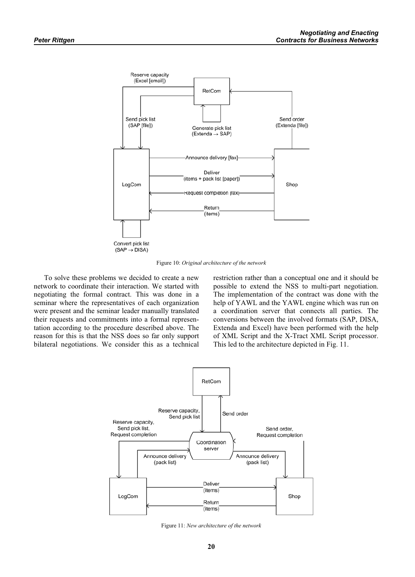

Figure 10: *Original architecture of the network*

To solve these problems we decided to create a new network to coordinate their interaction. We started with negotiating the formal contract. This was done in a seminar where the representatives of each organization were present and the seminar leader manually translated their requests and commitments into a formal representation according to the procedure described above. The reason for this is that the NSS does so far only support bilateral negotiations. We consider this as a technical restriction rather than a conceptual one and it should be possible to extend the NSS to multi-part negotiation. The implementation of the contract was done with the help of YAWL and the YAWL engine which was run on a coordination server that connects all parties. The conversions between the involved formats (SAP, DISA, Extenda and Excel) have been performed with the help of XML Script and the X-Tract XML Script processor. This led to the architecture depicted in Fig. 11.



Figure 11: *New architecture of the network*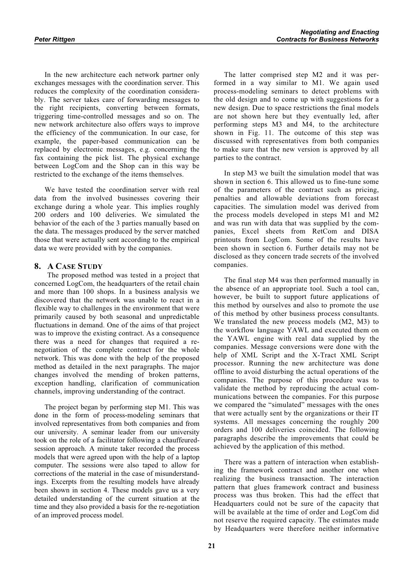In the new architecture each network partner only exchanges messages with the coordination server. This reduces the complexity of the coordination considerably. The server takes care of forwarding messages to the right recipients, converting between formats, triggering time-controlled messages and so on. The new network architecture also offers ways to improve the efficiency of the communication. In our case, for example, the paper-based communication can be replaced by electronic messages, e.g. concerning the fax containing the pick list. The physical exchange between LogCom and the Shop can in this way be restricted to the exchange of the items themselves.

We have tested the coordination server with real data from the involved businesses covering their exchange during a whole year. This implies roughly 200 orders and 100 deliveries. We simulated the behavior of the each of the 3 parties manually based on the data. The messages produced by the server matched those that were actually sent according to the empirical data we were provided with by the companies.

## **8. A CASE STUDY**

 The proposed method was tested in a project that concerned LogCom, the headquarters of the retail chain and more than 100 shops. In a business analysis we discovered that the network was unable to react in a flexible way to challenges in the environment that were primarily caused by both seasonal and unpredictable fluctuations in demand. One of the aims of that project was to improve the existing contract. As a consequence there was a need for changes that required a renegotiation of the complete contract for the whole network. This was done with the help of the proposed method as detailed in the next paragraphs. The major changes involved the mending of broken patterns, exception handling, clarification of communication channels, improving understanding of the contract.

The project began by performing step M1. This was done in the form of process-modeling seminars that involved representatives from both companies and from our university. A seminar leader from our university took on the role of a facilitator following a chauffeuredsession approach. A minute taker recorded the process models that were agreed upon with the help of a laptop computer. The sessions were also taped to allow for corrections of the material in the case of misunderstandings. Excerpts from the resulting models have already been shown in section 4. These models gave us a very detailed understanding of the current situation at the time and they also provided a basis for the re-negotiation of an improved process model.

The latter comprised step M2 and it was performed in a way similar to M1. We again used process-modeling seminars to detect problems with the old design and to come up with suggestions for a new design. Due to space restrictions the final models are not shown here but they eventually led, after performing steps M3 and M4, to the architecture shown in Fig. 11. The outcome of this step was discussed with representatives from both companies to make sure that the new version is approved by all parties to the contract.

In step M3 we built the simulation model that was shown in section 6. This allowed us to fine-tune some of the parameters of the contract such as pricing, penalties and allowable deviations from forecast capacities. The simulation model was derived from the process models developed in steps M1 and M2 and was run with data that was supplied by the companies, Excel sheets from RetCom and DISA printouts from LogCom. Some of the results have been shown in section 6. Further details may not be disclosed as they concern trade secrets of the involved companies.

The final step M4 was then performed manually in the absence of an appropriate tool. Such a tool can, however, be built to support future applications of this method by ourselves and also to promote the use of this method by other business process consultants. We translated the new process models (M2, M3) to the workflow language YAWL and executed them on the YAWL engine with real data supplied by the companies. Message conversions were done with the help of XML Script and the X-Tract XML Script processor. Running the new architecture was done offline to avoid disturbing the actual operations of the companies. The purpose of this procedure was to validate the method by reproducing the actual communications between the companies. For this purpose we compared the "simulated" messages with the ones that were actually sent by the organizations or their IT systems. All messages concerning the roughly 200 orders and 100 deliveries coincided. The following paragraphs describe the improvements that could be achieved by the application of this method.

There was a pattern of interaction when establishing the framework contract and another one when realizing the business transaction. The interaction pattern that glues framework contract and business process was thus broken. This had the effect that Headquarters could not be sure of the capacity that will be available at the time of order and LogCom did not reserve the required capacity. The estimates made by Headquarters were therefore neither informative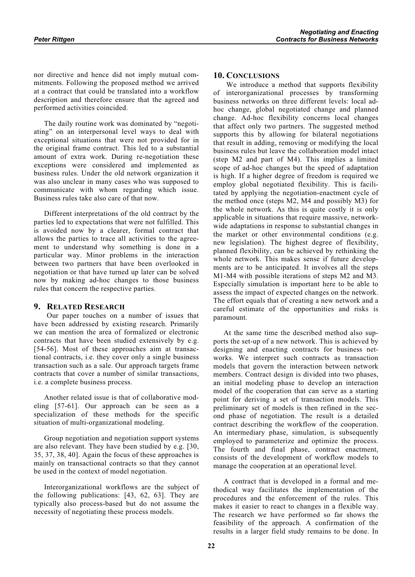nor directive and hence did not imply mutual commitments. Following the proposed method we arrived at a contract that could be translated into a workflow description and therefore ensure that the agreed and performed activities coincided.

The daily routine work was dominated by "negotiating" on an interpersonal level ways to deal with exceptional situations that were not provided for in the original frame contract. This led to a substantial amount of extra work. During re-negotiation these exceptions were considered and implemented as business rules. Under the old network organization it was also unclear in many cases who was supposed to communicate with whom regarding which issue. Business rules take also care of that now.

Different interpretations of the old contract by the parties led to expectations that were not fulfilled. This is avoided now by a clearer, formal contract that allows the parties to trace all activities to the agreement to understand why something is done in a particular way. Minor problems in the interaction between two partners that have been overlooked in negotiation or that have turned up later can be solved now by making ad-hoc changes to those business rules that concern the respective parties.

## **9. RELATED RESEARCH**

 Our paper touches on a number of issues that have been addressed by existing research. Primarily we can mention the area of formalized or electronic contracts that have been studied extensively by e.g. [54-56]. Most of these approaches aim at transactional contracts, i.e. they cover only a single business transaction such as a sale. Our approach targets frame contracts that cover a number of similar transactions, i.e. a complete business process.

Another related issue is that of collaborative modeling [57-61]. Our approach can be seen as a specialization of these methods for the specific situation of multi-organizational modeling.

Group negotiation and negotiation support systems are also relevant. They have been studied by e.g. [30, 35, 37, 38, 40]. Again the focus of these approaches is mainly on transactional contracts so that they cannot be used in the context of model negotiation.

Interorganizational workflows are the subject of the following publications: [43, 62, 63]. They are typically also process-based but do not assume the necessity of negotiating these process models.

## **10. CONCLUSIONS**

 We introduce a method that supports flexibility of interorganizational processes by transforming business networks on three different levels: local adhoc change, global negotiated change and planned change. Ad-hoc flexibility concerns local changes that affect only two partners. The suggested method supports this by allowing for bilateral negotiations that result in adding, removing or modifying the local business rules but leave the collaboration model intact (step M2 and part of M4). This implies a limited scope of ad-hoc changes but the speed of adaptation is high. If a higher degree of freedom is required we employ global negotiated flexibility. This is facilitated by applying the negotiation-enactment cycle of the method once (steps M2, M4 and possibly M3) for the whole network. As this is quite costly it is only applicable in situations that require massive, networkwide adaptations in response to substantial changes in the market or other environmental conditions (e.g. new legislation). The highest degree of flexibility, planned flexibility, can be achieved by rethinking the whole network. This makes sense if future developments are to be anticipated. It involves all the steps M1-M4 with possible iterations of steps M2 and M3. Especially simulation is important here to be able to assess the impact of expected changes on the network. The effort equals that of creating a new network and a careful estimate of the opportunities and risks is paramount.

At the same time the described method also supports the set-up of a new network. This is achieved by designing and enacting contracts for business networks. We interpret such contracts as transaction models that govern the interaction between network members. Contract design is divided into two phases, an initial modeling phase to develop an interaction model of the cooperation that can serve as a starting point for deriving a set of transaction models. This preliminary set of models is then refined in the second phase of negotiation. The result is a detailed contract describing the workflow of the cooperation. An intermediary phase, simulation, is subsequently employed to parameterize and optimize the process. The fourth and final phase, contract enactment, consists of the development of workflow models to manage the cooperation at an operational level.

A contract that is developed in a formal and methodical way facilitates the implementation of the procedures and the enforcement of the rules. This makes it easier to react to changes in a flexible way. The research we have performed so far shows the feasibility of the approach. A confirmation of the results in a larger field study remains to be done. In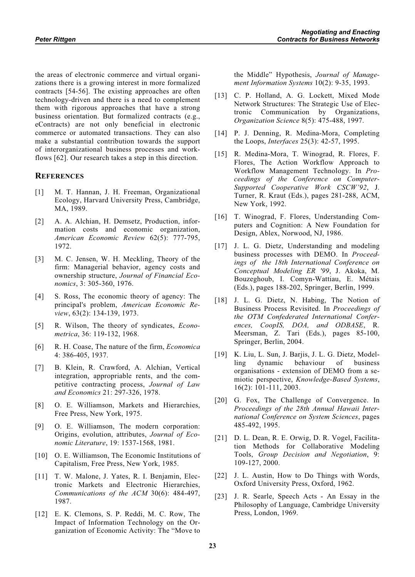the areas of electronic commerce and virtual organizations there is a growing interest in more formalized contracts [54-56]. The existing approaches are often technology-driven and there is a need to complement them with rigorous approaches that have a strong business orientation. But formalized contracts (e.g., eContracts) are not only beneficial in electronic commerce or automated transactions. They can also make a substantial contribution towards the support of interorganizational business processes and workflows [62]. Our research takes a step in this direction.

# **REFERENCES**

- [1] M. T. Hannan, J. H. Freeman, Organizational Ecology, Harvard University Press, Cambridge, MA, 1989.
- [2] A. A. Alchian, H. Demsetz, Production, information costs and economic organization, *American Economic Review* 62(5): 777-795, 1972.
- [3] M. C. Jensen, W. H. Meckling, Theory of the firm: Managerial behavior, agency costs and ownership structure, *Journal of Financial Economics*, 3: 305-360, 1976.
- [4] S. Ross, The economic theory of agency: The principal's problem, *American Economic Review*, 63(2): 134-139, 1973.
- [5] R. Wilson, The theory of syndicates, *Econometrica*, 36: 119-132, 1968.
- [6] R. H. Coase, The nature of the firm, *Economica* 4: 386-405, 1937.
- [7] B. Klein, R. Crawford, A. Alchian, Vertical integration, appropriable rents, and the competitive contracting process, *Journal of Law and Economics* 21: 297-326, 1978.
- [8] O. E. Williamson, Markets and Hierarchies, Free Press, New York, 1975.
- [9] O. E. Williamson, The modern corporation: Origins, evolution, attributes, *Journal of Economic Literature*, 19: 1537-1568, 1981.
- [10] O. E. Williamson, The Economic Institutions of Capitalism, Free Press, New York, 1985.
- [11] T. W. Malone, J. Yates, R. I. Benjamin, Electronic Markets and Electronic Hierarchies, *Communications of the ACM* 30(6): 484-497, 1987.
- [12] E. K. Clemons, S. P. Reddi, M. C. Row, The Impact of Information Technology on the Organization of Economic Activity: The "Move to

the Middle" Hypothesis, *Journal of Management Information Systems* 10(2): 9-35, 1993.

- [13] C. P. Holland, A. G. Lockett, Mixed Mode Network Structures: The Strategic Use of Electronic Communication by Organizations, *Organization Science* 8(5): 475-488, 1997.
- [14] P. J. Denning, R. Medina-Mora, Completing the Loops, *Interfaces* 25(3): 42-57, 1995.
- [15] R. Medina-Mora, T. Winograd, R. Flores, F. Flores, The Action Workflow Approach to Workflow Management Technology. In *Proceedings of the Conference on Computer-Supported Cooperative Work CSCW'92*, J. Turner, R. Kraut (Eds.), pages 281-288, ACM, New York, 1992.
- [16] T. Winograd, F. Flores, Understanding Computers and Cognition: A New Foundation for Design, Ablex, Norwood, NJ, 1986.
- [17] J. L. G. Dietz, Understanding and modeling business processes with DEMO. In *Proceedings of the 18th International Conference on Conceptual Modeling ER '99*, J. Akoka, M. Bouzeghoub, I. Comyn-Wattiau, E. Métais (Eds.), pages 188-202, Springer, Berlin, 1999.
- [18] J. L. G. Dietz, N. Habing, The Notion of Business Process Revisited. In *Proceedings of the OTM Confederated International Conferences, CoopIS, DOA, and ODBASE*, R. Meersman, Z. Tari (Eds.), pages 85-100, Springer, Berlin, 2004.
- [19] K. Liu, L. Sun, J. Barjis, J. L. G. Dietz, Modelling dynamic behaviour of business organisations - extension of DEMO from a semiotic perspective, *Knowledge-Based Systems*, 16(2): 101-111, 2003.
- [20] G. Fox, The Challenge of Convergence. In *Proceedings of the 28th Annual Hawaii International Conference on System Sciences*, pages 485-492, 1995.
- [21] D. L. Dean, R. E. Orwig, D. R. Vogel, Facilitation Methods for Collaborative Modeling Tools, *Group Decision and Negotiation*, 9: 109-127, 2000.
- [22] J. L. Austin, How to Do Things with Words, Oxford University Press, Oxford, 1962.
- [23] J. R. Searle, Speech Acts An Essay in the Philosophy of Language, Cambridge University Press, London, 1969.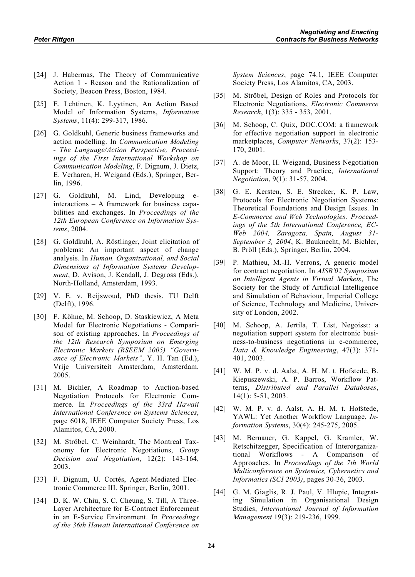- [24] J. Habermas, The Theory of Communicative Action 1 - Reason and the Rationalization of Society, Beacon Press, Boston, 1984.
- [25] E. Lehtinen, K. Lyytinen, An Action Based Model of Information Systems, *Information Systems*, 11(4): 299-317, 1986.
- [26] G. Goldkuhl, Generic business frameworks and action modelling. In *Communication Modeling - The Language/Action Perspective, Proceedings of the First International Workshop on Communication Modeling*, F. Dignum, J. Dietz, E. Verharen, H. Weigand (Eds.), Springer, Berlin, 1996.
- [27] G. Goldkuhl, M. Lind, Developing einteractions – A framework for business capabilities and exchanges. In *Proceedings of the 12th European Conference on Information Systems*, 2004.
- [28] G. Goldkuhl, A. Röstlinger, Joint elicitation of problems: An important aspect of change analysis. In *Human, Organizational, and Social Dimensions of Information Systems Development*, D. Avison, J. Kendall, J. Degross (Eds.), North-Holland, Amsterdam, 1993.
- [29] V. E. v. Reijswoud, PhD thesis, TU Delft (Delft), 1996.
- [30] F. Köhne, M. Schoop, D. Staskiewicz, A Meta Model for Electronic Negotiations - Comparison of existing approaches. In *Proceedings of the 12th Research Symposium on Emerging Electronic Markets (RSEEM 2005) "Governance of Electronic Markets"*, Y. H. Tan (Ed.), Vrije Universiteit Amsterdam, Amsterdam, 2005.
- [31] M. Bichler, A Roadmap to Auction-based Negotiation Protocols for Electronic Commerce. In *Proceedings of the 33rd Hawaii International Conference on Systems Sciences*, page 6018, IEEE Computer Society Press, Los Alamitos, CA, 2000.
- [32] M. Ströbel, C. Weinhardt, The Montreal Taxonomy for Electronic Negotiations, *Group Decision and Negotiation*, 12(2): 143-164, 2003.
- [33] F. Dignum, U. Cortés, Agent-Mediated Electronic Commerce III. Springer, Berlin, 2001.
- [34] D. K. W. Chiu, S. C. Cheung, S. Till, A Three-Layer Architecture for E-Contract Enforcement in an E-Service Environment. In *Proceedings of the 36th Hawaii International Conference on*

*System Sciences*, page 74.1, IEEE Computer Society Press, Los Alamitos, CA, 2003.

- [35] M. Ströbel, Design of Roles and Protocols for Electronic Negotiations, *Electronic Commerce Research*, 1(3): 335 - 353, 2001.
- [36] M. Schoop, C. Quix, DOC.COM: a framework for effective negotiation support in electronic marketplaces, *Computer Networks*, 37(2): 153- 170, 2001.
- [37] A. de Moor, H. Weigand, Business Negotiation Support: Theory and Practice, *International Negotiation*, 9(1): 31-57, 2004.
- [38] G. E. Kersten, S. E. Strecker, K. P. Law, Protocols for Electronic Negotiation Systems: Theoretical Foundations and Design Issues. In *E-Commerce and Web Technologies: Proceedings of the 5th International Conference, EC-Web 2004, Zaragoza, Spain, August 31- September 3, 2004*, K. Bauknecht, M. Bichler, B. Pröll (Eds.), Springer, Berlin, 2004.
- [39] P. Mathieu, M.-H. Verrons, A generic model for contract negotiation. In *AISB'02 Symposium on Intelligent Agents in Virtual Markets*, The Society for the Study of Artificial Intelligence and Simulation of Behaviour, Imperial College of Science, Technology and Medicine, University of London, 2002.
- [40] M. Schoop, A. Jertila, T. List, Negoisst: a negotiation support system for electronic business-to-business negotiations in e-commerce, *Data & Knowledge Engineering*, 47(3): 371- 401, 2003.
- [41] W. M. P. v. d. Aalst, A. H. M. t. Hofstede, B. Kiepuszewski, A. P. Barros, Workflow Patterns, *Distributed and Parallel Databases*, 14(1): 5-51, 2003.
- [42] W. M. P. v. d. Aalst, A. H. M. t. Hofstede, YAWL: Yet Another Workflow Language, *Information Systems*, 30(4): 245-275, 2005.
- [43] M. Bernauer, G. Kappel, G. Kramler, W. Retschitzegger, Specification of Interorganizational Workflows - A Comparison of Approaches. In *Proceedings of the 7th World Multiconference on Systemics, Cybernetics and Informatics (SCI 2003)*, pages 30-36, 2003.
- [44] G. M. Giaglis, R. J. Paul, V. Hlupic, Integrating Simulation in Organisational Design Studies, *International Journal of Information Management* 19(3): 219-236, 1999.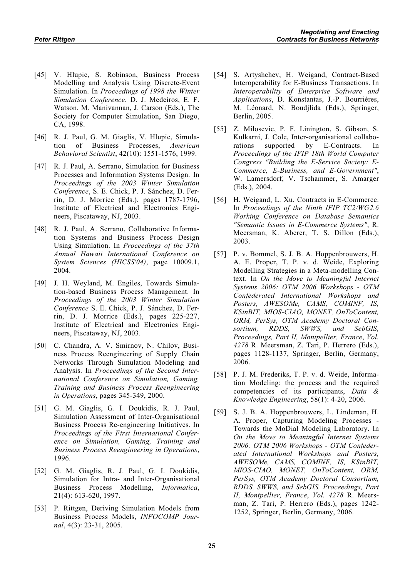- [45] V. Hlupic, S. Robinson, Business Process Modelling and Analysis Using Discrete-Event Simulation. In *Proceedings of 1998 the Winter Simulation Conference*, D. J. Medeiros, E. F. Watson, M. Manivannan, J. Carson (Eds.), The Society for Computer Simulation, San Diego, CA, 1998.
- [46] R. J. Paul, G. M. Giaglis, V. Hlupic, Simulation of Business Processes, *American Behavioral Scientist*, 42(10): 1551-1576, 1999.
- [47] R. J. Paul, A. Serrano, Simulation for Business Processes and Information Systems Design. In *Proceedings of the 2003 Winter Simulation Conference*, S. E. Chick, P. J. Sánchez, D. Ferrin, D. J. Morrice (Eds.), pages 1787-1796, Institute of Electrical and Electronics Engineers, Piscataway, NJ, 2003.
- [48] R. J. Paul, A. Serrano, Collaborative Information Systems and Business Process Design Using Simulation. In *Proceedings of the 37th Annual Hawaii International Conference on System Sciences (HICSS'04)*, page 10009.1, 2004.
- [49] J. H. Weyland, M. Engiles, Towards Simulation-based Business Process Management. In *Proceedings of the 2003 Winter Simulation Conference* S. E. Chick, P. J. Sánchez, D. Ferrin, D. J. Morrice (Eds.), pages 225-227, Institute of Electrical and Electronics Engineers, Piscataway, NJ, 2003.
- [50] C. Chandra, A. V. Smirnov, N. Chilov, Business Process Reengineering of Supply Chain Networks Through Simulation Modeling and Analysis. In *Proceedings of the Second International Conference on Simulation, Gaming, Training and Business Process Reengineering in Operations*, pages 345-349, 2000.
- [51] G. M. Giaglis, G. I. Doukidis, R. J. Paul, Simulation Assessment of Inter-Organisational Business Process Re-engineering Initiatives. In *Proceedings of the First International Conference on Simulation, Gaming, Training and Business Process Reengineering in Operations*, 1996.
- [52] G. M. Giaglis, R. J. Paul, G. I. Doukidis, Simulation for Intra- and Inter-Organisational Business Process Modelling, *Informatica*, 21(4): 613-620, 1997.
- [53] P. Rittgen, Deriving Simulation Models from Business Process Models, *INFOCOMP Journal*, 4(3): 23-31, 2005.
- [54] S. Artyshchev, H. Weigand, Contract-Based Interoperability for E-Business Transactions. In *Interoperability of Enterprise Software and Applications*, D. Konstantas, J.-P. Bourrières, M. Léonard, N. Boudjlida (Eds.), Springer, Berlin, 2005.
- [55] Z. Milosevic, P. F. Linington, S. Gibson, S. Kulkarni, J. Cole, Inter-organisational collaborations supported by E-Contracts. In *Proceedings of the IFIP 18th World Computer Congress "Building the E-Service Society: E-Commerce, E-Business, and E-Government"*, W. Lamersdorf, V. Tschammer, S. Amarger (Eds.), 2004.
- [56] H. Weigand, L. Xu, Contracts in E-Commerce. In *Proceedings of the Ninth IFIP TC2/WG2.6 Working Conference on Database Semantics "Semantic Issues in E-Commerce Systems"*, R. Meersman, K. Aberer, T. S. Dillon (Eds.), 2003.
- [57] P. v. Bommel, S. J. B. A. Hoppenbrouwers, H. A. E. Proper, T. P. v. d. Weide, Exploring Modelling Strategies in a Meta-modelling Context. In *On the Move to Meaningful Internet Systems 2006: OTM 2006 Workshops - OTM Confederated International Workshops and Posters, AWESOMe, CAMS, COMINF, IS, KSinBIT, MIOS-CIAO, MONET, OnToContent, ORM, PerSys, OTM Academy Doctoral Consortium, RDDS, SWWS, and SebGIS, Proceedings, Part II, Montpellier, France*, *Vol. 4278* R. Meersman, Z. Tari, P. Herrero (Eds.), pages 1128-1137, Springer, Berlin, Germany, 2006.
- [58] P. J. M. Frederiks, T. P. v. d. Weide, Information Modeling: the process and the required competencies of its participants, *Data & Knowledge Engineering*, 58(1): 4-20, 2006.
- [59] S. J. B. A. Hoppenbrouwers, L. Lindeman, H. A. Proper, Capturing Modeling Processes - Towards the MoDial Modeling Laboratory. In *On the Move to Meaningful Internet Systems 2006: OTM 2006 Workshops - OTM Confederated International Workshops and Posters, AWESOMe, CAMS, COMINF, IS, KSinBIT, MIOS-CIAO, MONET, OnToContent, ORM, PerSys, OTM Academy Doctoral Consortium, RDDS, SWWS, and SebGIS, Proceedings, Part II, Montpellier, France*, *Vol. 4278* R. Meersman, Z. Tari, P. Herrero (Eds.), pages 1242- 1252, Springer, Berlin, Germany, 2006.